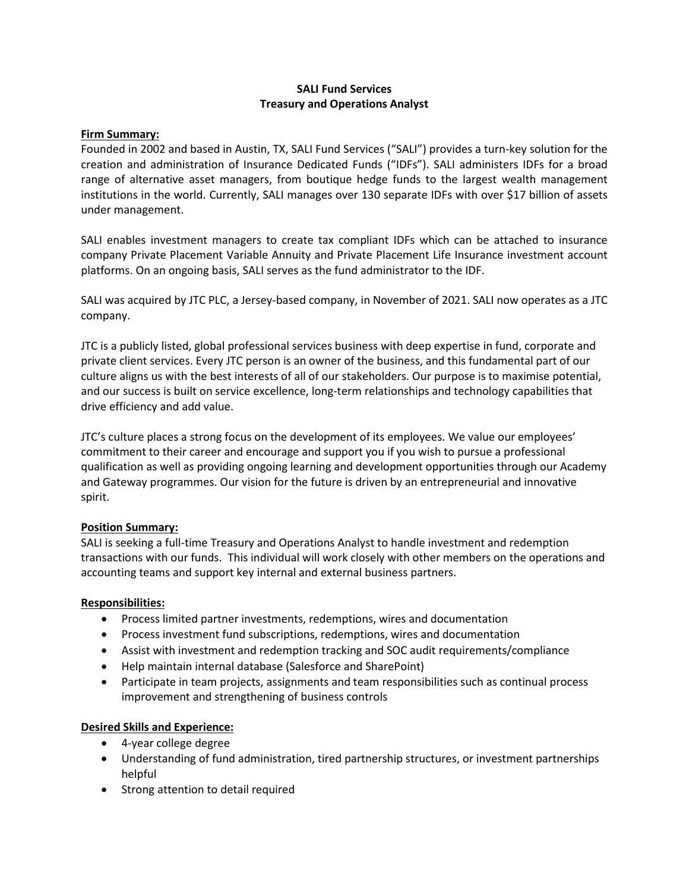# **SALI Fund Services Treasury and Operations Analyst**

#### **Firm Summary:**

Founded in 2002 and based in Austin, TX, SALI Fund Services ("SALI") provides a turn-key solution for the creation and administration of Insurance Dedicated Funds ("IDFs"). SALI administers IDFs for a broad range of alternative asset managers, from boutique hedge funds to the largest wealth management institutions in the world. Currently, SALI manages over 130 separate IDFs with over \$17 billion of assets under management.

SALI enables investment managers to create tax compliant IDFs which can be attached to insurance company Private Placement Variable Annuity and Private Placement Life Insurance investment account platforms. On an ongoing basis, SALI serves as the fund administrator to the IDF.

SALI was acquired by JTC PLC, a Jersey-based company, in November of 2021. SALI now operates as a JTC company.

JTC is a publicly listed, global professional services business with deep expertise in fund, corporate and private client services. Every JTC person is an owner of the business, and this fundamental part of our culture aligns us with the best interests of all of our stakeholders. Our purpose is to maximise potential, and our success is built on service excellence, long-term relationships and technology capabilities that drive efficiency and add value.

JTC's culture places a strong focus on the development of its employees. We value our employees' commitment to their career and encourage and support you if you wish to pursue a professional qualification as well as providing ongoing learning and development opportunities through our Academy and Gateway programmes. Our vision for the future is driven by an entrepreneurial and innovative spirit.

## **Position Summary:**

SALI is seeking a full-time Treasury and Operations Analyst to handle investment and redemption transactions with our funds. This individual will work closely with other members on the operations and accounting teams and support key internal and external business partners.

## **Responsibilities:**

- Process limited partner investments, redemptions, wires and documentation
- Process investment fund subscriptions, redemptions, wires and documentation
- Assist with investment and redemption tracking and SOC audit requirements/compliance
- Help maintain internal database (Salesforce and SharePoint)
- Participate in team projects, assignments and team responsibilities such as continual process improvement and strengthening of business controls

## **Desired Skills and Experience:**

- 4-year college degree
- Understanding of fund administration, tired partnership structures, or investment partnerships helpful
- Strong attention to detail required